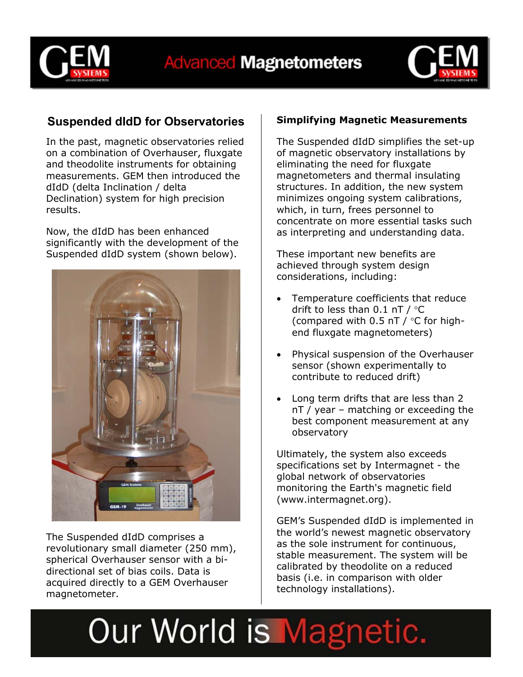



### **Suspended dIdD for Observatories**

In the past, magnetic observatories relied on a combination of Overhauser, fluxgate and theodolite instruments for obtaining measurements. GEM then introduced the dIdD (delta Inclination / delta Declination) system for high precision results.

Now, the dIdD has been enhanced significantly with the development of the Suspended dIdD system (shown below).



The Suspended dIdD comprises a revolutionary small diameter (250 mm), spherical Overhauser sensor with a bidirectional set of bias coils. Data is acquired directly to a GEM Overhauser magnetometer.

### **Simplifying Magnetic Measurements**

The Suspended dIdD simplifies the set-up of magnetic observatory installations by eliminating the need for fluxgate magnetometers and thermal insulating structures. In addition, the new system minimizes ongoing system calibrations, which, in turn, frees personnel to concentrate on more essential tasks such as interpreting and understanding data.

These important new benefits are achieved through system design considerations, including:

- Temperature coefficients that reduce drift to less than  $0.1$  nT /  $\degree$ C (compared with 0.5 nT / °C for highend fluxgate magnetometers)
- Physical suspension of the Overhauser sensor (shown experimentally to contribute to reduced drift)
- Long term drifts that are less than 2 nT / year – matching or exceeding the best component measurement at any observatory

Ultimately, the system also exceeds specifications set by Intermagnet - the global network of observatories monitoring the Earth's magnetic field (www.intermagnet.org).

GEM's Suspended dIdD is implemented in the world's newest magnetic observatory as the sole instrument for continuous, stable measurement. The system will be calibrated by theodolite on a reduced basis (i.e. in comparison with older technology installations).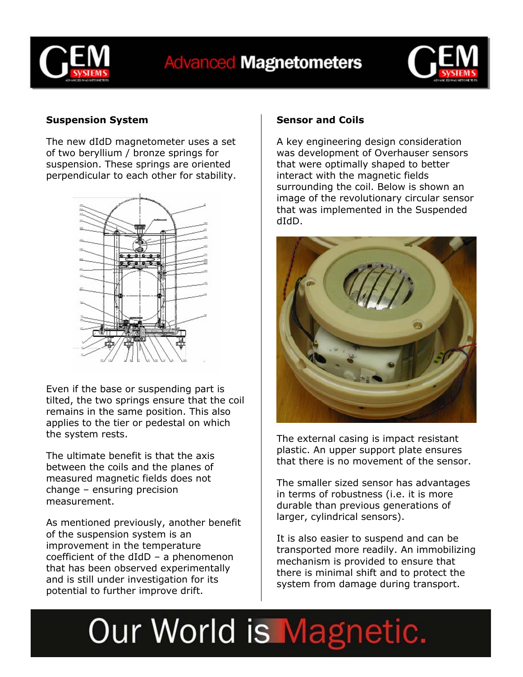

## **Advanced Magnetometers**



### **Suspension System**

The new dIdD magnetometer uses a set of two beryllium / bronze springs for suspension. These springs are oriented perpendicular to each other for stability.



Even if the base or suspending part is tilted, the two springs ensure that the coil remains in the same position. This also applies to the tier or pedestal on which the system rests.

The ultimate benefit is that the axis between the coils and the planes of measured magnetic fields does not change – ensuring precision measurement.

As mentioned previously, another benefit of the suspension system is an improvement in the temperature coefficient of the dIdD – a phenomenon that has been observed experimentally and is still under investigation for its potential to further improve drift.

#### **Sensor and Coils**

A key engineering design consideration was development of Overhauser sensors that were optimally shaped to better interact with the magnetic fields surrounding the coil. Below is shown an image of the revolutionary circular sensor that was implemented in the Suspended dIdD.



The external casing is impact resistant plastic. An upper support plate ensures that there is no movement of the sensor.

The smaller sized sensor has advantages in terms of robustness (i.e. it is more durable than previous generations of larger, cylindrical sensors).

It is also easier to suspend and can be transported more readily. An immobilizing mechanism is provided to ensure that there is minimal shift and to protect the system from damage during transport.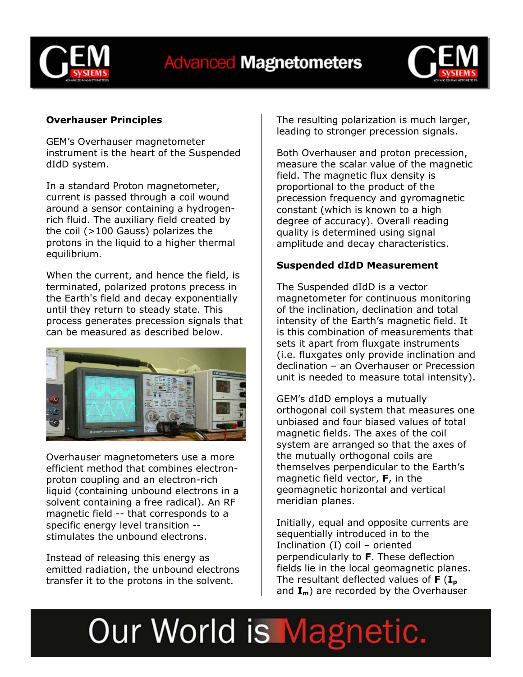

## **Advanced Magnetometers**



### **Overhauser Principles**

GEM's Overhauser magnetometer instrument is the heart of the Suspended dIdD system.

In a standard Proton magnetometer, current is passed through a coil wound around a sensor containing a hydrogenrich fluid. The auxiliary field created by the coil (>100 Gauss) polarizes the protons in the liquid to a higher thermal equilibrium.

When the current, and hence the field, is terminated, polarized protons precess in the Earth's field and decay exponentially until they return to steady state. This process generates precession signals that can be measured as described below.



Overhauser magnetometers use a more efficient method that combines electronproton coupling and an electron-rich liquid (containing unbound electrons in a solvent containing a free radical). An RF magnetic field -- that corresponds to a specific energy level transition - stimulates the unbound electrons.

Instead of releasing this energy as emitted radiation, the unbound electrons transfer it to the protons in the solvent.

The resulting polarization is much larger, leading to stronger precession signals.

Both Overhauser and proton precession, measure the scalar value of the magnetic field. The magnetic flux density is proportional to the product of the precession frequency and gyromagnetic constant (which is known to a high degree of accuracy). Overall reading quality is determined using signal amplitude and decay characteristics.

#### **Suspended dIdD Measurement**

The Suspended dIdD is a vector magnetometer for continuous monitoring of the inclination, declination and total intensity of the Earth's magnetic field. It is this combination of measurements that sets it apart from fluxgate instruments (i.e. fluxgates only provide inclination and declination – an Overhauser or Precession unit is needed to measure total intensity).

GEM's dIdD employs a mutually orthogonal coil system that measures one unbiased and four biased values of total magnetic fields. The axes of the coil system are arranged so that the axes of the mutually orthogonal coils are themselves perpendicular to the Earth's magnetic field vector, **F**, in the geomagnetic horizontal and vertical meridian planes.

Initially, equal and opposite currents are sequentially introduced in to the Inclination (I) coil – oriented perpendicularly to **F**. These deflection fields lie in the local geomagnetic planes. The resultant deflected values of **F** (I<sub>p</sub> and  $I_m$ ) are recorded by the Overhauser